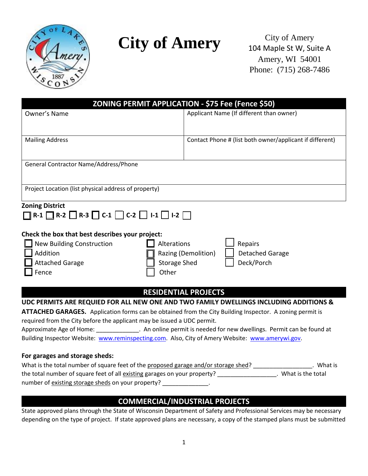

# **City of Amery** City of Amery

104 Maple St W, Suite A Amery, WI 54001 Phone: (715) 268-7486

| <b>ZONING PERMIT APPLICATION - \$75 Fee (Fence \$50)</b>                                                                                                                                                                                                                                                                                                                                                                                                                                           |                                                                 |  |
|----------------------------------------------------------------------------------------------------------------------------------------------------------------------------------------------------------------------------------------------------------------------------------------------------------------------------------------------------------------------------------------------------------------------------------------------------------------------------------------------------|-----------------------------------------------------------------|--|
| Owner's Name                                                                                                                                                                                                                                                                                                                                                                                                                                                                                       | Applicant Name (If different than owner)                        |  |
| <b>Mailing Address</b>                                                                                                                                                                                                                                                                                                                                                                                                                                                                             | Contact Phone # (list both owner/applicant if different)        |  |
| General Contractor Name/Address/Phone                                                                                                                                                                                                                                                                                                                                                                                                                                                              |                                                                 |  |
| Project Location (list physical address of property)                                                                                                                                                                                                                                                                                                                                                                                                                                               |                                                                 |  |
| <b>Zoning District</b><br>R-1 $\Box$ R-2 $\Box$ R-3 $\Box$ C-1 $\Box$ C-2 $\Box$ I-1 $\Box$ I-2 $\Box$<br>Check the box that best describes your project:<br><b>New Building Construction</b><br>Alterations<br>Addition<br><b>Attached Garage</b><br><b>Storage Shed</b><br>Other<br>Fence                                                                                                                                                                                                        | Repairs<br>Razing (Demolition)<br>Detached Garage<br>Deck/Porch |  |
| <b>RESIDENTIAL PROJECTS</b>                                                                                                                                                                                                                                                                                                                                                                                                                                                                        |                                                                 |  |
| UDC PERMITS ARE REQUIED FOR ALL NEW ONE AND TWO FAMILY DWELLINGS INCLUDING ADDITIONS &<br>ATTACHED GARAGES. Application forms can be obtained from the City Building Inspector. A zoning permit is<br>required from the City before the applicant may be issued a UDC permit.<br>Approximate Age of Home: ______________. An online permit is needed for new dwellings. Permit can be found at<br>Building Inspector Website: www.reminspecting.com. Also, City of Amery Website: www.amerywi.gov. |                                                                 |  |
| For garages and storage sheds:<br>Chat is the total number of square feet of the proposed garage and/or storage shed?                                                                                                                                                                                                                                                                                                                                                                              | What ic                                                         |  |

#### What is the total number of square feet of the <u>proposed garage and/or storage shed</u>? \_\_\_\_\_\_\_\_\_\_\_\_\_\_\_\_\_\_\_\_. What is the total number of square feet of all existing garages on your property? Number 2014, What is the total number of existing storage sheds on your property? \_\_\_\_\_\_\_\_\_\_\_\_

### **COMMERCIAL/INDUSTRIAL PROJECTS**

State approved plans through the State of Wisconsin Department of Safety and Professional Services may be necessary depending on the type of project. If state approved plans are necessary, a copy of the stamped plans must be submitted